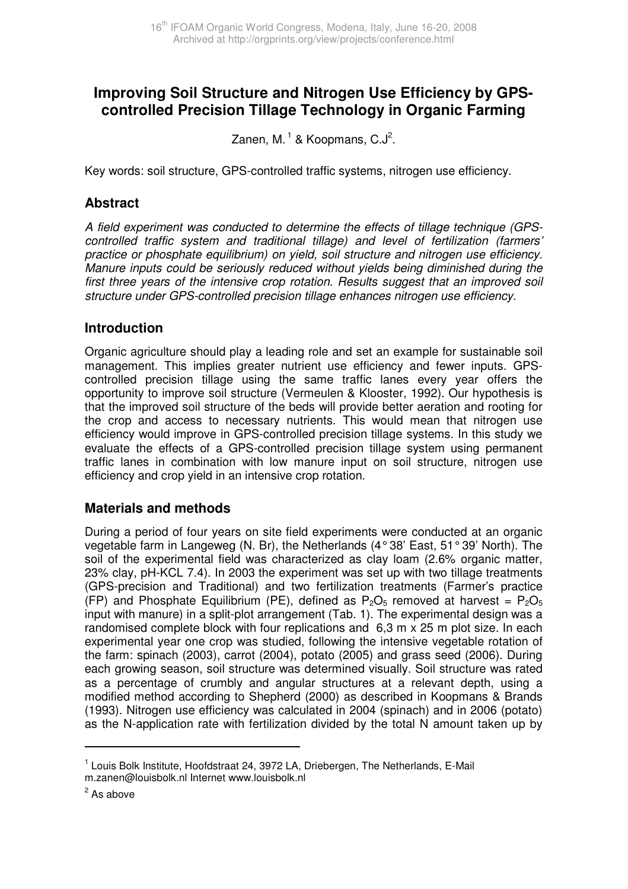# **Improving Soil Structure and Nitrogen Use Efficiency by GPScontrolled Precision Tillage Technology in Organic Farming**

Zanen, M. $^1$  & Koopmans, C.J $^2$ .

Key words: soil structure, GPS-controlled traffic systems, nitrogen use efficiency.

### **Abstract**

A field experiment was conducted to determine the effects of tillage technique (GPScontrolled traffic system and traditional tillage) and level of fertilization (farmers' practice or phosphate equilibrium) on yield, soil structure and nitrogen use efficiency. Manure inputs could be seriously reduced without yields being diminished during the first three years of the intensive crop rotation. Results suggest that an improved soil structure under GPS-controlled precision tillage enhances nitrogen use efficiency.

### **Introduction**

Organic agriculture should play a leading role and set an example for sustainable soil management. This implies greater nutrient use efficiency and fewer inputs. GPScontrolled precision tillage using the same traffic lanes every year offers the opportunity to improve soil structure (Vermeulen & Klooster, 1992). Our hypothesis is that the improved soil structure of the beds will provide better aeration and rooting for the crop and access to necessary nutrients. This would mean that nitrogen use efficiency would improve in GPS-controlled precision tillage systems. In this study we evaluate the effects of a GPS-controlled precision tillage system using permanent traffic lanes in combination with low manure input on soil structure, nitrogen use efficiency and crop yield in an intensive crop rotation.

# **Materials and methods**

During a period of four years on site field experiments were conducted at an organic vegetable farm in Langeweg (N. Br), the Netherlands (4° 38' East, 51° 39' North). The soil of the experimental field was characterized as clay loam (2.6% organic matter, 23% clay, pH-KCL 7.4). In 2003 the experiment was set up with two tillage treatments (GPS-precision and Traditional) and two fertilization treatments (Farmer's practice (FP) and Phosphate Equilibrium (PE), defined as  $P_2O_5$  removed at harvest =  $P_2O_5$ input with manure) in a split-plot arrangement (Tab. 1). The experimental design was a randomised complete block with four replications and 6,3 m x 25 m plot size. In each experimental year one crop was studied, following the intensive vegetable rotation of the farm: spinach (2003), carrot (2004), potato (2005) and grass seed (2006). During each growing season, soil structure was determined visually. Soil structure was rated as a percentage of crumbly and angular structures at a relevant depth, using a modified method according to Shepherd (2000) as described in Koopmans & Brands (1993). Nitrogen use efficiency was calculated in 2004 (spinach) and in 2006 (potato) as the N-application rate with fertilization divided by the total N amount taken up by

 $\overline{a}$ 

<sup>&</sup>lt;sup>1</sup> Louis Bolk Institute, Hoofdstraat 24, 3972 LA, Driebergen, The Netherlands, E-Mail m.zanen@louisbolk.nl Internet www.louisbolk.nl

<sup>&</sup>lt;sup>2</sup> As above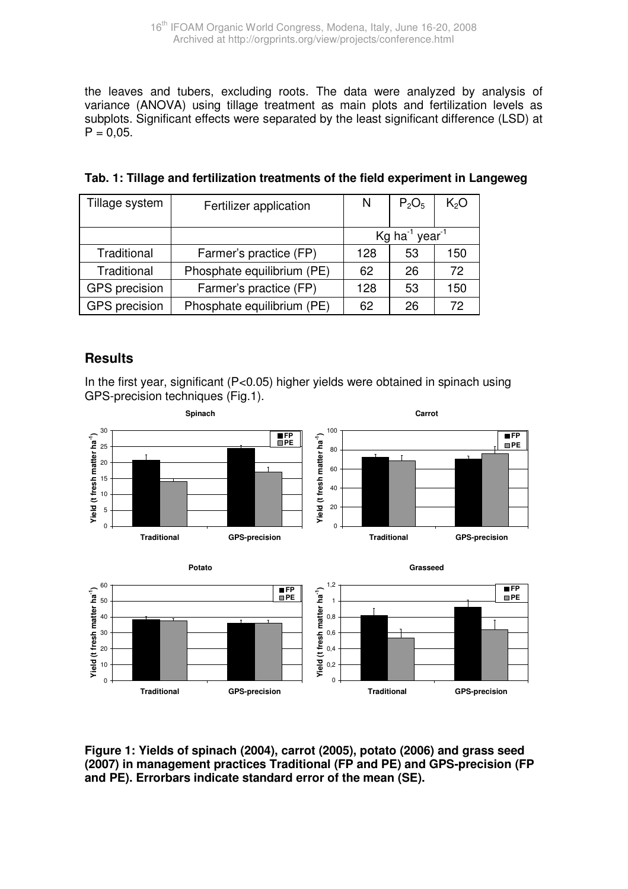the leaves and tubers, excluding roots. The data were analyzed by analysis of variance (ANOVA) using tillage treatment as main plots and fertilization levels as subplots. Significant effects were separated by the least significant difference (LSD) at  $P = 0.05$ .

| Tillage system | Fertilizer application     | N                                               | $P_2O_5$ | K <sub>2</sub> O |
|----------------|----------------------------|-------------------------------------------------|----------|------------------|
|                |                            | $\text{Ka}$ ha <sup>-1</sup> year <sup>-1</sup> |          |                  |
| Traditional    | Farmer's practice (FP)     | 128                                             | 53       | 150              |
| Traditional    | Phosphate equilibrium (PE) | 62                                              | 26       | 72               |
| GPS precision  | Farmer's practice (FP)     | 128                                             | 53       | 150              |
| GPS precision  | Phosphate equilibrium (PE) |                                                 | 26       | 72               |

| Tab. 1: Tillage and fertilization treatments of the field experiment in Langeweg |  |
|----------------------------------------------------------------------------------|--|
|----------------------------------------------------------------------------------|--|

# **Results**

In the first year, significant (P<0.05) higher yields were obtained in spinach using GPS-precision techniques (Fig.1).



**Figure 1: Yields of spinach (2004), carrot (2005), potato (2006) and grass seed (2007) in management practices Traditional (FP and PE) and GPS-precision (FP and PE). Errorbars indicate standard error of the mean (SE).**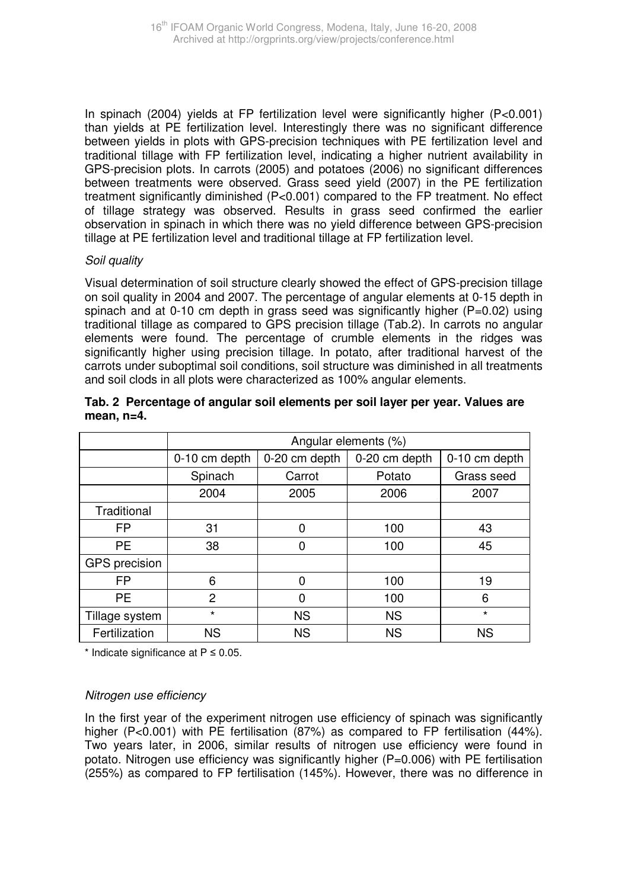In spinach (2004) yields at FP fertilization level were significantly higher (P<0.001) than yields at PE fertilization level. Interestingly there was no significant difference between yields in plots with GPS-precision techniques with PE fertilization level and traditional tillage with FP fertilization level, indicating a higher nutrient availability in GPS-precision plots. In carrots (2005) and potatoes (2006) no significant differences between treatments were observed. Grass seed yield (2007) in the PE fertilization treatment significantly diminished (P<0.001) compared to the FP treatment. No effect of tillage strategy was observed. Results in grass seed confirmed the earlier observation in spinach in which there was no yield difference between GPS-precision tillage at PE fertilization level and traditional tillage at FP fertilization level.

#### Soil quality

Visual determination of soil structure clearly showed the effect of GPS-precision tillage on soil quality in 2004 and 2007. The percentage of angular elements at 0-15 depth in spinach and at 0-10 cm depth in grass seed was significantly higher (P=0.02) using traditional tillage as compared to GPS precision tillage (Tab.2). In carrots no angular elements were found. The percentage of crumble elements in the ridges was significantly higher using precision tillage. In potato, after traditional harvest of the carrots under suboptimal soil conditions, soil structure was diminished in all treatments and soil clods in all plots were characterized as 100% angular elements.

|                | Angular elements (%) |               |               |               |  |
|----------------|----------------------|---------------|---------------|---------------|--|
|                | 0-10 cm depth        | 0-20 cm depth | 0-20 cm depth | 0-10 cm depth |  |
|                | Spinach              | Carrot        | Potato        | Grass seed    |  |
|                | 2004                 | 2005          | 2006          | 2007          |  |
| Traditional    |                      |               |               |               |  |
| FP             | 31                   | 0             | 100           | 43            |  |
| <b>PE</b>      | 38                   | 0             | 100           | 45            |  |
| GPS precision  |                      |               |               |               |  |
| FP             | 6                    | 0             | 100           | 19            |  |
| PE.            | 2                    | 0             | 100           | 6             |  |
| Tillage system | $\star$              | <b>NS</b>     | <b>NS</b>     | $\star$       |  |
| Fertilization  | ΝS                   | <b>NS</b>     | <b>NS</b>     | <b>NS</b>     |  |

#### **Tab. 2 Percentage of angular soil elements per soil layer per year. Values are mean, n=4.**

\* Indicate significance at P ≤ 0.05.

#### Nitrogen use efficiency

In the first year of the experiment nitrogen use efficiency of spinach was significantly higher (P<0.001) with PE fertilisation (87%) as compared to FP fertilisation (44%). Two years later, in 2006, similar results of nitrogen use efficiency were found in potato. Nitrogen use efficiency was significantly higher (P=0.006) with PE fertilisation (255%) as compared to FP fertilisation (145%). However, there was no difference in